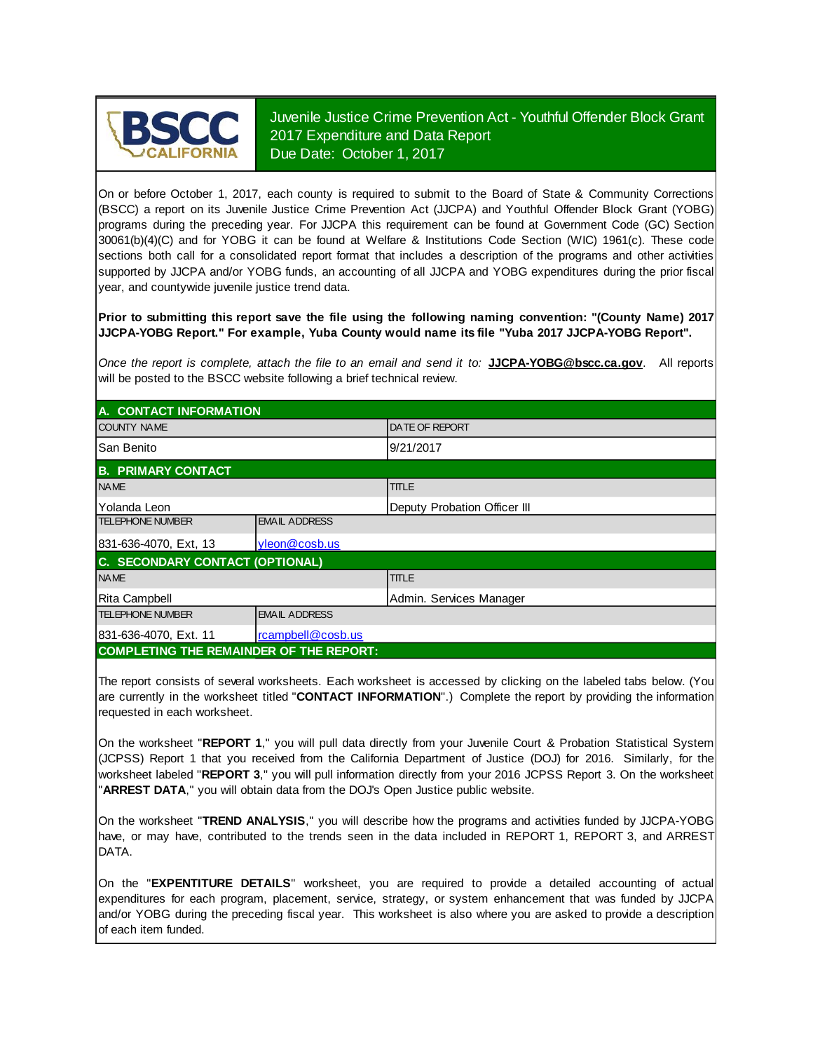

Juvenile Justice Crime Prevention Act - Youthful Offender Block Grant 2017 Expenditure and Data Report Due Date: October 1, 2017

On or before October 1, 2017, each county is required to submit to the Board of State & Community Corrections (BSCC) <sup>a</sup> report on its Juvenile Justice Crime Prevention Act (JJCPA) and Youthful Offender Block Grant (YOBG) programs during the preceding year. For JJCPA this requirement can be found at Government Code (GC) Section 30061(b)(4)(C) and for YOBG it can be found at Welfare & Institutions Code Section (WIC) 1961(c). These code sections both call for <sup>a</sup> consolidated report format that includes <sup>a</sup> description of the programs and other activities supported by JJCPA and/or YOBG funds, an accounting of all JJCPA and YOBG expenditures during the prior fiscal year, and countywide juvenile justice trend data.

**Prior to submitting this report save the file using the following naming convention: "(County Name) 2017 JJCPA-YOBG Report." For example, Yuba County would name its file "Yuba 2017 JJCPA-YOBG Report".**

*Once the report is complete, attach the file t o an email and send it to:* **JJCPA-YOBG@bscc.ca.gov**. All reports will be posted to the BSCC website following a brief technical review.

| A. CONTACT INFORMATION                         |                      |                              |  |  |
|------------------------------------------------|----------------------|------------------------------|--|--|
| <b>COUNTY NAME</b>                             |                      | <b>IDATE OF REPORT</b>       |  |  |
| <b>San Benito</b>                              |                      | 9/21/2017                    |  |  |
| <b>B. PRIMARY CONTACT</b>                      |                      |                              |  |  |
| <b>NAME</b>                                    |                      | <b>TITLE</b>                 |  |  |
| l Yolanda Leon                                 |                      | Deputy Probation Officer III |  |  |
| <b>TELEPHONE NUMBER</b>                        | <b>EMAIL ADDRESS</b> |                              |  |  |
| 831-636-4070, Ext, 13                          | yleon@cosb.us        |                              |  |  |
| C. SECONDARY CONTACT (OPTIONAL)                |                      |                              |  |  |
| <b>NAME</b>                                    |                      | <b>TITLE</b>                 |  |  |
| <b>Rita Campbell</b>                           |                      | Admin. Services Manager      |  |  |
| <b>TELEPHONE NUMBER</b>                        | <b>EMAIL ADDRESS</b> |                              |  |  |
| 831-636-4070, Ext. 11                          | rcampbell@cosb.us    |                              |  |  |
| <b>COMPLETING THE REMAINDER OF THE REPORT:</b> |                      |                              |  |  |

The report consists of several worksheets. Each worksheet is accessed by clicking on the labeled tabs below. (You are currently in the worksheet titled "**CONTACT INFORMATION**".) Complete the report by providing the information requested in each worksheet.

On the worksheet "**REPORT 1**, " you will pull data directly from your Juvenile Court & Probation Statistical System (JCPSS) Report 1 that you received from the California Department of Justice (DOJ) for 2016. Similarly, for the worksheet labeled "**REPORT 3**, " you will pull information directly from your 2016 JCPSS Report 3. On the worksheet "**ARREST DATA**," you will obtain data from the DOJ's Open Justice public website.

On the worksheet "**TREND ANALYSIS**, " you will describe how the programs and activities funded by JJCPA-YOBG have, or may have, contributed to the trends seen in the data included in REPORT 1, REPORT 3, and ARREST DATA.

On the "EXPENTITURE DETAILS" worksheet, you are required to provide a detailed accounting of actual expenditures for each program, placement, service, strategy, or system enhancement that was funded by JJCPA and/or YOBG during the preceding fiscal year. This worksheet is also where you are asked to provide a description of each item funded.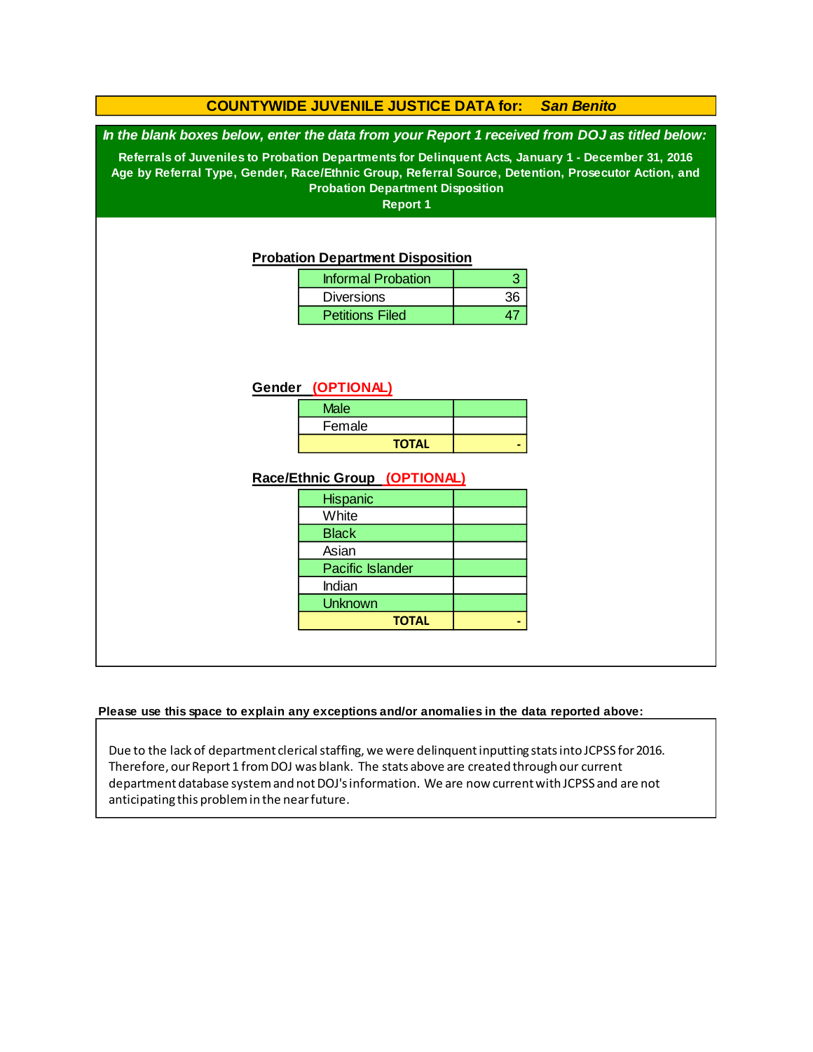|                                                                                                                                                                                                           | <b>COUNTYWIDE JUVENILE JUSTICE DATA for:</b>                               |    | <b>San Benito</b> |  |
|-----------------------------------------------------------------------------------------------------------------------------------------------------------------------------------------------------------|----------------------------------------------------------------------------|----|-------------------|--|
| In the blank boxes below, enter the data from your Report 1 received from DOJ as titled below:                                                                                                            |                                                                            |    |                   |  |
| Referrals of Juveniles to Probation Departments for Delinquent Acts, January 1 - December 31, 2016<br>Age by Referral Type, Gender, Race/Ethnic Group, Referral Source, Detention, Prosecutor Action, and | <b>Probation Department Disposition</b><br><b>Report 1</b>                 |    |                   |  |
|                                                                                                                                                                                                           | <b>Probation Department Disposition</b>                                    |    |                   |  |
|                                                                                                                                                                                                           | <b>Informal Probation</b>                                                  | 3  |                   |  |
|                                                                                                                                                                                                           | <b>Diversions</b>                                                          | 36 |                   |  |
|                                                                                                                                                                                                           | <b>Petitions Filed</b>                                                     | 47 |                   |  |
|                                                                                                                                                                                                           | Gender (OPTIONAL)<br><b>Male</b>                                           |    |                   |  |
|                                                                                                                                                                                                           |                                                                            |    |                   |  |
|                                                                                                                                                                                                           | Female<br><b>TOTAL</b>                                                     |    |                   |  |
|                                                                                                                                                                                                           | Race/Ethnic Group (OPTIONAL)<br>Hispanic<br>White<br><b>Black</b><br>Asian |    |                   |  |
|                                                                                                                                                                                                           | Pacific Islander<br>Indian                                                 |    |                   |  |
|                                                                                                                                                                                                           | <b>Unknown</b>                                                             |    |                   |  |
|                                                                                                                                                                                                           | <b>TOTAL</b>                                                               |    |                   |  |

### **Please use this space to explain any exceptions and/or anomalies in the data reported above:**

Due to the lack of department clerical staffing, we were delinquent inputting stats into JCPSS for 2016. Therefore, our Report 1 from DOJ was blank. The stats above are created through our current department database system and not DOJ's information. We are now current with JCPSS and are not anticipating this problem in the near future.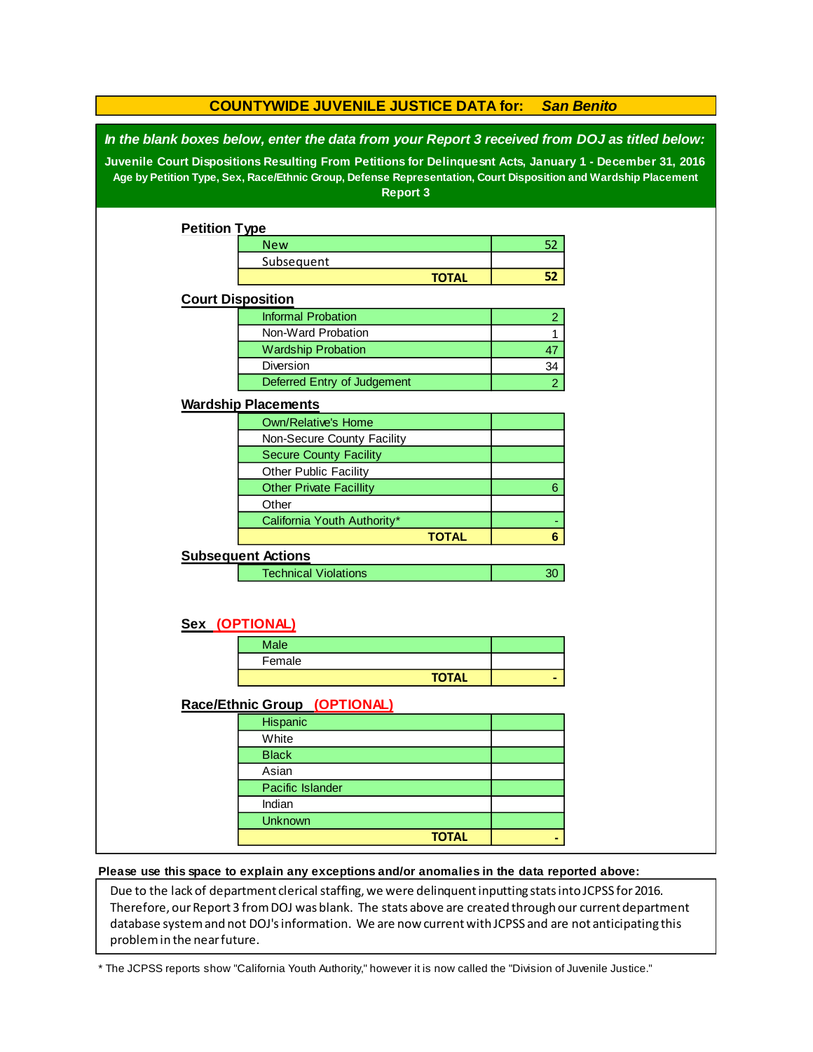| <b>COUNTYWIDE JUVENILE JUSTICE DATA for:</b><br><b>San Benito</b>                                                                                                                                                                                                                                                                               |                                          |              |                |  |  |
|-------------------------------------------------------------------------------------------------------------------------------------------------------------------------------------------------------------------------------------------------------------------------------------------------------------------------------------------------|------------------------------------------|--------------|----------------|--|--|
| In the blank boxes below, enter the data from your Report 3 received from DOJ as titled below:<br>Juvenile Court Dispositions Resulting From Petitions for Delinquesnt Acts, January 1 - December 31, 2016<br>Age by Petition Type, Sex, Race/Ethnic Group, Defense Representation, Court Disposition and Wardship Placement<br><b>Report 3</b> |                                          |              |                |  |  |
| <b>Petition Type</b>                                                                                                                                                                                                                                                                                                                            |                                          |              |                |  |  |
|                                                                                                                                                                                                                                                                                                                                                 | <b>New</b>                               |              | 52             |  |  |
|                                                                                                                                                                                                                                                                                                                                                 | Subsequent                               |              |                |  |  |
|                                                                                                                                                                                                                                                                                                                                                 |                                          | <b>TOTAL</b> | 52             |  |  |
| <b>Court Disposition</b>                                                                                                                                                                                                                                                                                                                        |                                          |              |                |  |  |
|                                                                                                                                                                                                                                                                                                                                                 | <b>Informal Probation</b>                |              | $\overline{2}$ |  |  |
|                                                                                                                                                                                                                                                                                                                                                 | Non-Ward Probation                       |              | 1              |  |  |
|                                                                                                                                                                                                                                                                                                                                                 | <b>Wardship Probation</b>                |              | 47             |  |  |
|                                                                                                                                                                                                                                                                                                                                                 | Diversion                                |              | 34             |  |  |
|                                                                                                                                                                                                                                                                                                                                                 | Deferred Entry of Judgement              |              | $\overline{2}$ |  |  |
|                                                                                                                                                                                                                                                                                                                                                 | <b>Wardship Placements</b>               |              |                |  |  |
|                                                                                                                                                                                                                                                                                                                                                 | <b>Own/Relative's Home</b>               |              |                |  |  |
|                                                                                                                                                                                                                                                                                                                                                 | Non-Secure County Facility               |              |                |  |  |
|                                                                                                                                                                                                                                                                                                                                                 | <b>Secure County Facility</b>            |              |                |  |  |
|                                                                                                                                                                                                                                                                                                                                                 | Other Public Facility                    |              |                |  |  |
|                                                                                                                                                                                                                                                                                                                                                 | <b>Other Private Facillity</b>           |              | 6              |  |  |
|                                                                                                                                                                                                                                                                                                                                                 | Other                                    |              |                |  |  |
|                                                                                                                                                                                                                                                                                                                                                 | California Youth Authority*              |              |                |  |  |
|                                                                                                                                                                                                                                                                                                                                                 |                                          | <b>TOTAL</b> | 6              |  |  |
|                                                                                                                                                                                                                                                                                                                                                 | <b>Subsequent Actions</b>                |              |                |  |  |
|                                                                                                                                                                                                                                                                                                                                                 | <b>Technical Violations</b>              |              | 30             |  |  |
| Sex (OPTIONAL)                                                                                                                                                                                                                                                                                                                                  |                                          |              |                |  |  |
|                                                                                                                                                                                                                                                                                                                                                 | <b>Male</b>                              |              |                |  |  |
|                                                                                                                                                                                                                                                                                                                                                 | Female                                   |              |                |  |  |
|                                                                                                                                                                                                                                                                                                                                                 |                                          | <b>TOTAL</b> |                |  |  |
|                                                                                                                                                                                                                                                                                                                                                 |                                          |              |                |  |  |
|                                                                                                                                                                                                                                                                                                                                                 | Race/Ethnic Group (OPTIONAL)<br>Hispanic |              |                |  |  |
|                                                                                                                                                                                                                                                                                                                                                 | White                                    |              |                |  |  |
|                                                                                                                                                                                                                                                                                                                                                 | <b>Black</b>                             |              |                |  |  |
|                                                                                                                                                                                                                                                                                                                                                 | Asian                                    |              |                |  |  |
|                                                                                                                                                                                                                                                                                                                                                 | Pacific Islander                         |              |                |  |  |
|                                                                                                                                                                                                                                                                                                                                                 | Indian                                   |              |                |  |  |
|                                                                                                                                                                                                                                                                                                                                                 | Unknown                                  |              |                |  |  |
|                                                                                                                                                                                                                                                                                                                                                 |                                          | <b>TOTAL</b> |                |  |  |

#### **Please use this space to explain any exceptions and/or anomalies in the data reported above:**

Due to the lack of department clerical staffing, we were delinquent inputting stats into JCPSS for 2016. Therefore, our Report 3 from DOJ was blank. The stats above are created through our current department database system and not DOJ's information. We are now current with JCPSS and are not anticipating this problem in the near future.

\* The JCPSS reports show "California Youth Authority," however it is now called the "Division of Juvenile Justice."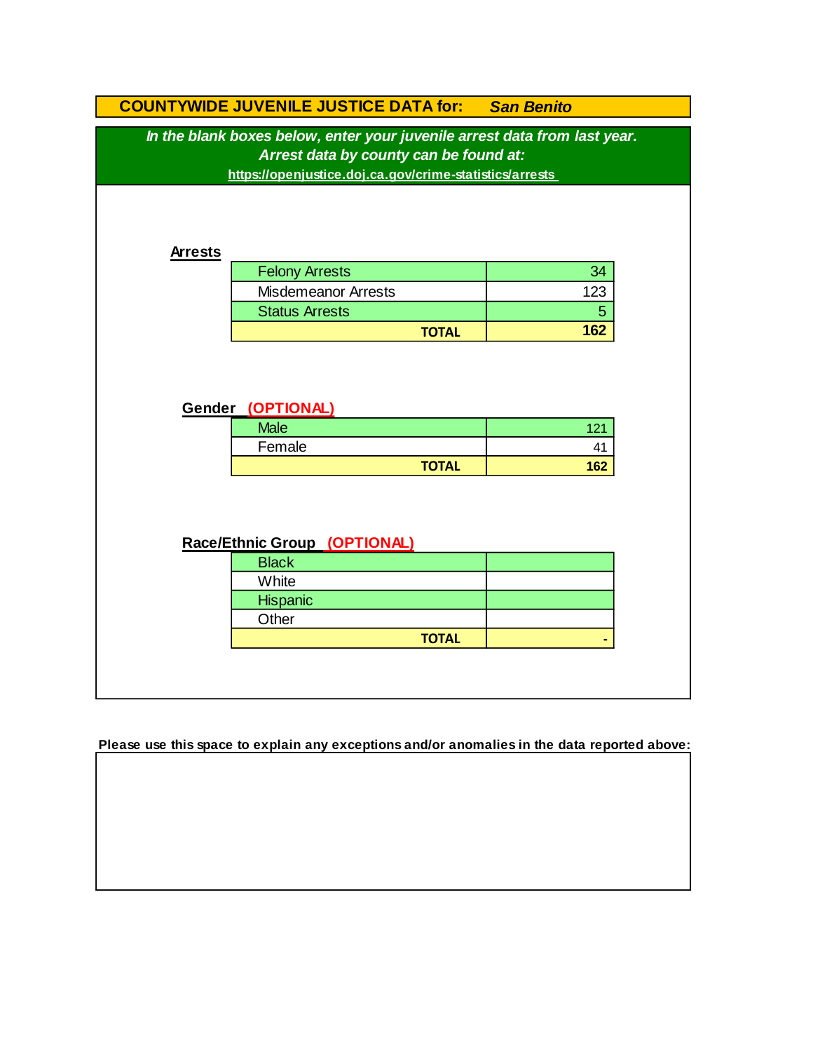|                | In the blank boxes below, enter your juvenile arrest data from last year. |           |
|----------------|---------------------------------------------------------------------------|-----------|
|                | Arrest data by county can be found at:                                    |           |
|                | https://openjustice.doj.ca.gov/crime-statistics/arrests                   |           |
|                |                                                                           |           |
|                |                                                                           |           |
|                |                                                                           |           |
| <b>Arrests</b> |                                                                           |           |
|                | <b>Felony Arrests</b>                                                     | 34        |
|                | <b>Misdemeanor Arrests</b>                                                | 123       |
|                | <b>Status Arrests</b>                                                     | 5         |
|                | <b>TOTAL</b>                                                              | 162       |
|                | Gender (OPTIONAL)                                                         |           |
|                |                                                                           |           |
|                | <b>Male</b><br>Female                                                     | 121<br>41 |
|                | <b>TOTAL</b>                                                              | 162       |
|                |                                                                           |           |
|                |                                                                           |           |
|                |                                                                           |           |
|                | Race/Ethnic Group (OPTIONAL)                                              |           |
|                | <b>Black</b>                                                              |           |
|                | White                                                                     |           |
|                | <b>Hispanic</b>                                                           |           |
|                | Other<br><b>TOTAL</b>                                                     |           |

**Please use this space to explain any exceptions and/or anomalies in the data reported above:**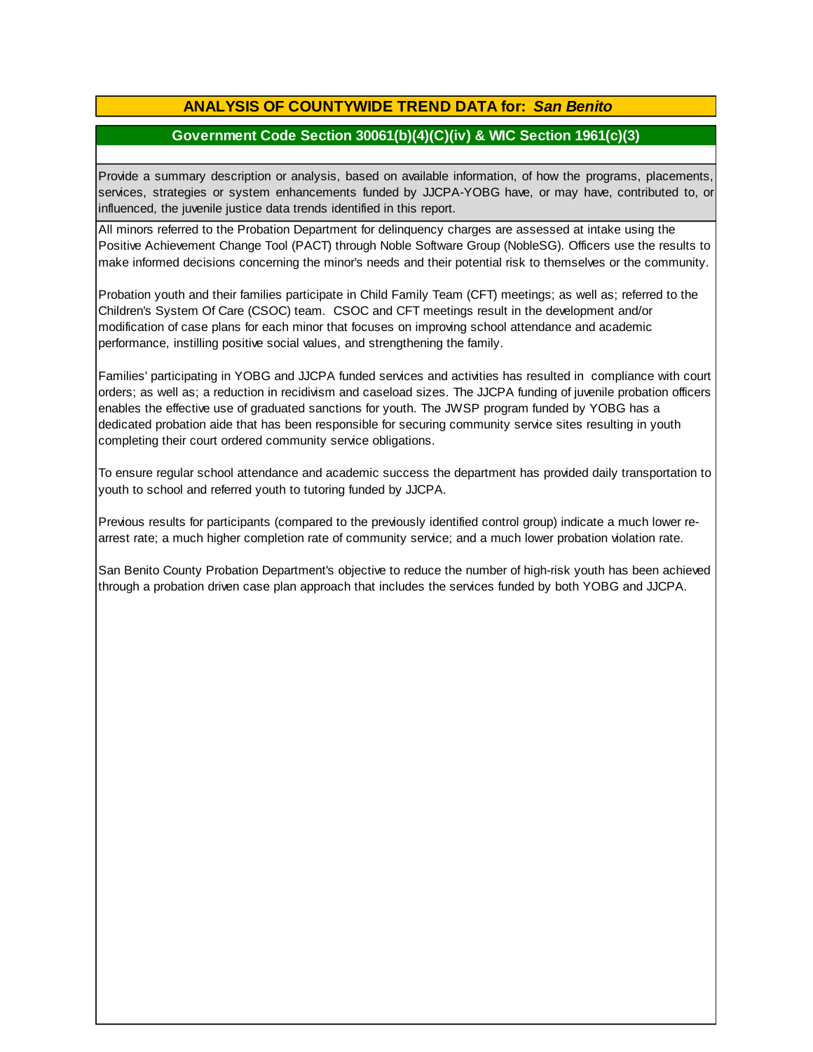## **ANALYSIS OF COUNTYWIDE TREND DATA for:** *San Benito*

### **Government Code Section 30061(b)(4)(C)(iv) & WIC Section 1961(c)(3)**

Provide <sup>a</sup> summary description or analysis, based on available information, of how the programs, placements, services, strategies or system enhancements funded by JJCPA-YOBG have, or may have, contributed to, or influenced, the juvenile justice data trends identified in this report.

All minors referred to the Probation Department for delinquency charges are assessed at intake using the Positive Achievement Change Tool (PACT) through Noble Software Group (NobleSG). Officers use the results to make informed decisions concerning the minor's needs and their potential risk to themselves or the community.

Probation youth and their families participate in Child Family Team (CFT) meetings; as well as; referred to the Children's System Of Care (CSOC) team. CSOC and CFT meetings result in the development and/or modification of case plans for each minor that focuses on improving school attendance and academic performance, instilling positive social values, and strengthening the family.

Families' participating in YOBG and JJCPA funded services and activities has resulted in compliance with court orders; as well as; a reduction in recidivism and caseload sizes. The JJCPA funding of juvenile probation officers enables the effective use of graduated sanctions for youth. The JWSP program funded by YOBG has a dedicated probation aide that has been responsible for securing community service sites resulting in youth completing their court ordered community service obligations.

To ensure regular school attendance and academic success the department has provided daily transportation to youth to school and referred youth to tutoring funded by JJCPA.

Previous results for participants (compared to the previously identified control group) indicate a much lower rearrest rate; a much higher completion rate of community service; and a much lower probation violation rate.

San Benito County Probation Department's objective to reduce the number of high-risk youth has been achieved through a probation driven case plan approach that includes the services funded by both YOBG and JJCPA.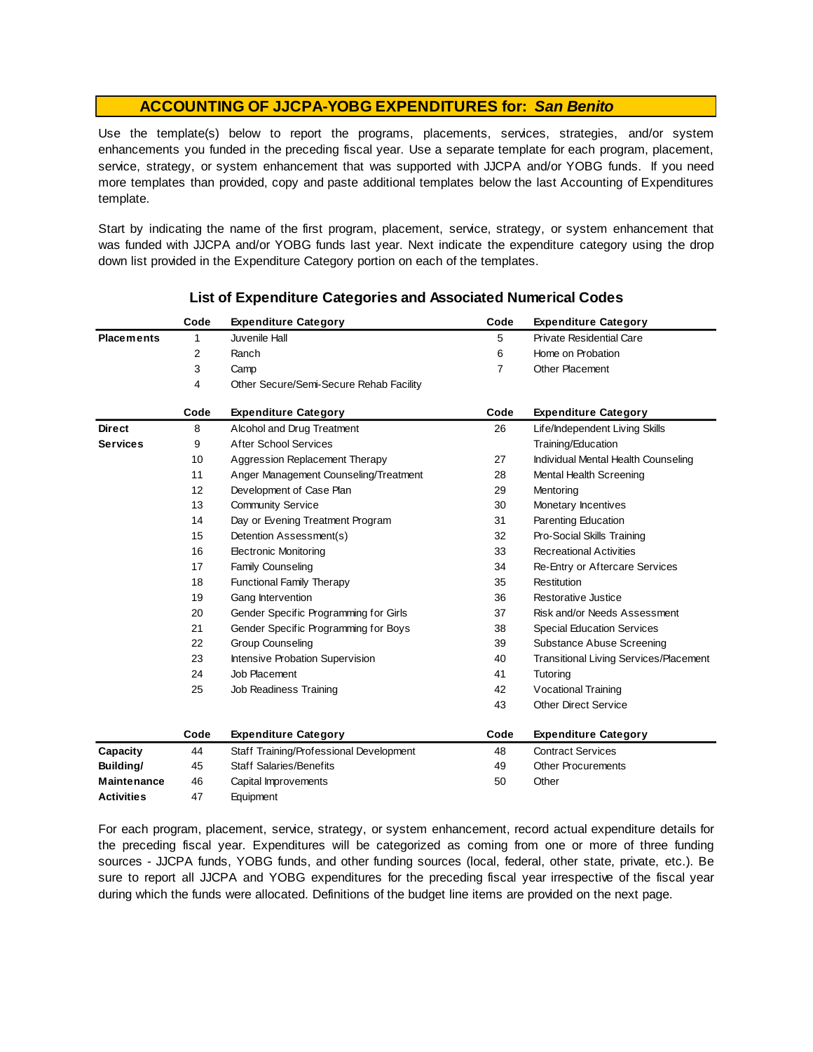Use the template(s) below to report the programs, placements, services, strategies, and/or system enhancements you funded in the preceding fiscal year. Use <sup>a</sup> separate template for each program, placement, service, strategy, or system enhancement that was supported with JJCPA and/or YOBG funds. If you need more templates than provided, copy and paste additional templates below the last Accounting of Expenditures template.

Start by indicating the name of the first program, placement, service, strategy, or system enhancement that was funded with JJCPA and/or YOBG funds last year. Next indicate the expenditure category using the drop down list provided in the Expenditure Category portion on each of the templates.

|                    | Code | <b>Expenditure Category</b>             | Code           | <b>Expenditure Category</b>            |
|--------------------|------|-----------------------------------------|----------------|----------------------------------------|
| <b>Placements</b>  | 1    | Juvenile Hall                           | 5              | <b>Private Residential Care</b>        |
|                    | 2    | Ranch                                   | 6              | Home on Probation                      |
|                    | 3    | Camp                                    | $\overline{7}$ | <b>Other Placement</b>                 |
|                    | 4    | Other Secure/Semi-Secure Rehab Facility |                |                                        |
|                    | Code | <b>Expenditure Category</b>             | Code           | <b>Expenditure Category</b>            |
| <b>Direct</b>      | 8    | Alcohol and Drug Treatment              | 26             | Life/Independent Living Skills         |
| <b>Services</b>    | 9    | <b>After School Services</b>            |                | Training/Education                     |
|                    | 10   | Aggression Replacement Therapy          | 27             | Individual Mental Health Counseling    |
|                    | 11   | Anger Management Counseling/Treatment   | 28             | Mental Health Screening                |
|                    | 12   | Development of Case Plan                | 29             | Mentoring                              |
|                    | 13   | <b>Community Service</b>                | 30             | Monetary Incentives                    |
|                    | 14   | Day or Evening Treatment Program        | 31             | Parenting Education                    |
|                    | 15   | Detention Assessment(s)                 | 32             | Pro-Social Skills Training             |
|                    | 16   | <b>Electronic Monitoring</b>            | 33             | <b>Recreational Activities</b>         |
|                    | 17   | <b>Family Counseling</b>                | 34             | Re-Entry or Aftercare Services         |
|                    | 18   | <b>Functional Family Therapy</b>        | 35             | Restitution                            |
|                    | 19   | Gang Intervention                       | 36             | Restorative Justice                    |
|                    | 20   | Gender Specific Programming for Girls   | 37             | Risk and/or Needs Assessment           |
|                    | 21   | Gender Specific Programming for Boys    | 38             | <b>Special Education Services</b>      |
|                    | 22   | <b>Group Counseling</b>                 | 39             | Substance Abuse Screening              |
|                    | 23   | Intensive Probation Supervision         | 40             | Transitional Living Services/Placement |
|                    | 24   | Job Placement                           | 41             | Tutoring                               |
|                    | 25   | Job Readiness Training                  | 42             | Vocational Training                    |
|                    |      |                                         | 43             | <b>Other Direct Service</b>            |
|                    | Code | <b>Expenditure Category</b>             | Code           | <b>Expenditure Category</b>            |
| Capacity           | 44   | Staff Training/Professional Development | 48             | <b>Contract Services</b>               |
| Building/          | 45   | <b>Staff Salaries/Benefits</b>          | 49             | <b>Other Procurements</b>              |
| <b>Maintenance</b> | 46   | Capital Improvements                    | 50             | Other                                  |
| <b>Activities</b>  | 47   | Equipment                               |                |                                        |

#### **List of Expenditure Categories and Associated Numerical Codes**

For each program, placement, service, strategy, or system enhancement, record actual expenditure details for the preceding fiscal year. Expenditures will be categorized as coming from one or more of three funding sources - JJCPA funds, YOBG funds, and other funding sources (local, federal, other state, private, etc.). Be sure to report all JJCPA and YOBG expenditures for the preceding fiscal year irrespective of the fiscal year during which the funds were allocated. Definitions of the budget line items are provided on the next page.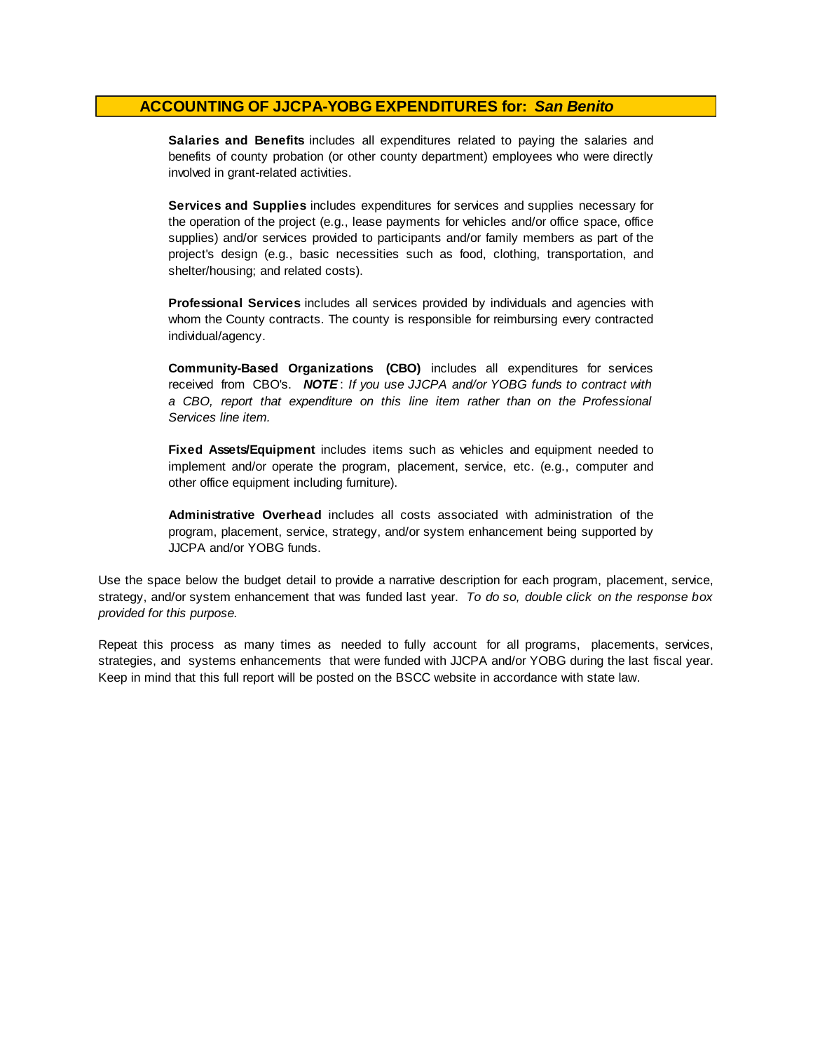**Salaries and Benefits** includes all expenditures related to paying the salaries and benefits of county probation (or other county department) employees who were directly involved in grant-related activities.

**Services and Supplies** includes expenditures for services and supplies necessary for the operation of the project (e.g., lease payments for vehicles and/or office space, office supplies) and/or services provided to participants and/or family members as part of the project's design (e.g., basic necessities such as food, clothing, transportation, and shelter/housing; and related costs).

**Professional Services** includes all services provided by individuals and agencies with whom the County contracts. The county is responsible for reimbursing every contracted individual/agency.

**Community-Based Organizations (CBO)** includes all expenditures for services received from CBO's. *NOTE* : *I f you use JJCPA and/or YOBG funds t o contract with <sup>a</sup> CBO, report that expenditure on this line item rather than on the Professional Services line item.*

**Fixed Assets/Equipment** includes items such as vehicles and equipment needed to implement and/or operate the program, placement, service, etc. (e.g., computer and other office equipment including furniture).

**Administrative Overhead** includes all costs associated with administration of the program, placement, service, strategy, and/or system enhancement being supported by JJCPA and/or YOBG funds.

Use the space below the budget detail to provide a narrative description for each program, placement, service, strategy, and/or system enhancement that was funded last year. *To do so, double click on the response box provided for this purpose.* 

Repeat this process as many times as needed to fully account for all programs, placements, services, strategies, and systems enhancements that were funded with JJCPA and/or YOBG during the last fiscal year. Keep in mind that this full report will be posted on the BSCC website in accordance with state law.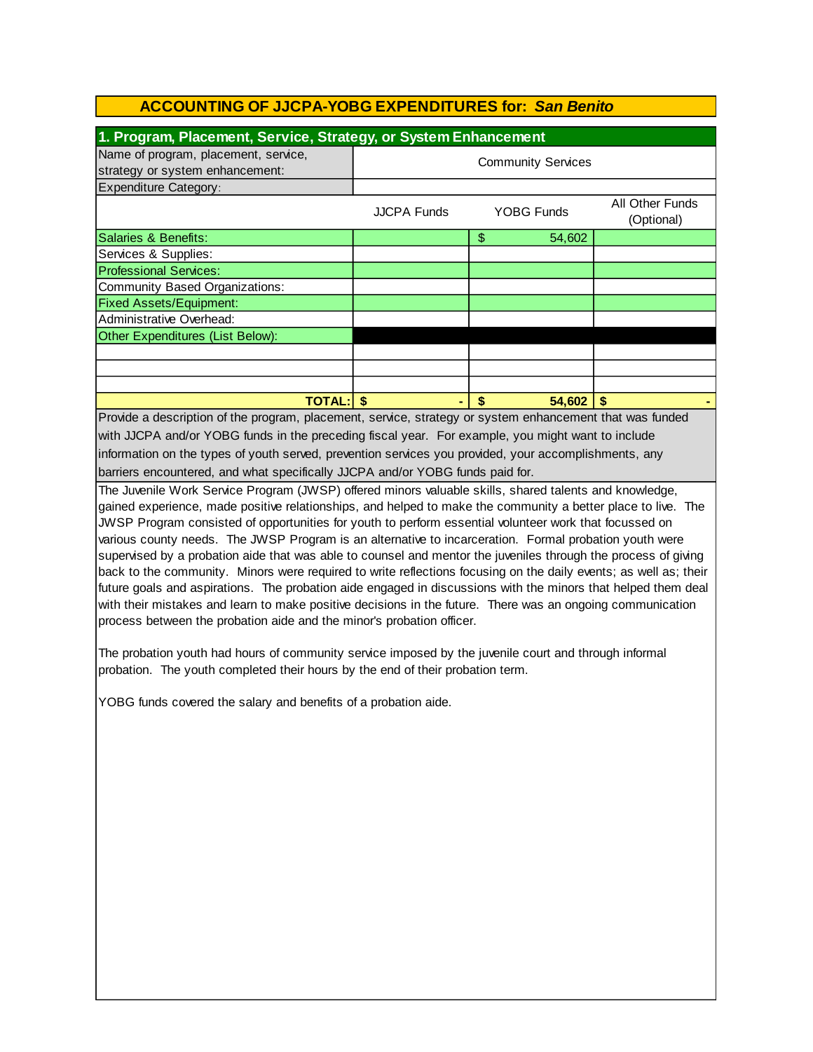| 1. Program, Placement, Service, Strategy, or System Enhancement                                          |                           |    |            |                               |  |  |
|----------------------------------------------------------------------------------------------------------|---------------------------|----|------------|-------------------------------|--|--|
| Name of program, placement, service,<br>strategy or system enhancement:                                  | <b>Community Services</b> |    |            |                               |  |  |
| <b>Expenditure Category:</b>                                                                             |                           |    |            |                               |  |  |
|                                                                                                          | <b>JJCPA Funds</b>        |    | YOBG Funds | All Other Funds<br>(Optional) |  |  |
| Salaries & Benefits:                                                                                     |                           | \$ | 54,602     |                               |  |  |
| Services & Supplies:                                                                                     |                           |    |            |                               |  |  |
| <b>Professional Services:</b>                                                                            |                           |    |            |                               |  |  |
| Community Based Organizations:                                                                           |                           |    |            |                               |  |  |
| <b>Fixed Assets/Equipment:</b>                                                                           |                           |    |            |                               |  |  |
| Administrative Overhead:                                                                                 |                           |    |            |                               |  |  |
| Other Expenditures (List Below):                                                                         |                           |    |            |                               |  |  |
|                                                                                                          |                           |    |            |                               |  |  |
|                                                                                                          |                           |    |            |                               |  |  |
|                                                                                                          |                           |    |            |                               |  |  |
| <b>TOTAL: S</b>                                                                                          |                           | \$ | 54,602     |                               |  |  |
| Provide a description of the program, placement, service, strategy or system enhancement that was funded |                           |    |            |                               |  |  |
| with JJCPA and/or YOBG funds in the preceding fiscal year. For example, you might want to include        |                           |    |            |                               |  |  |
| information on the types of youth served, prevention services you provided, your accomplishments, any    |                           |    |            |                               |  |  |
| barriers encountered, and what specifically JJCPA and/or YOBG funds paid for.                            |                           |    |            |                               |  |  |

The Juvenile Work Service Program (JWSP) offered minors valuable skills, shared talents and knowledge, gained experience, made positive relationships, and helped to make the community a better place to live. The JWSP Program consisted of opportunities for youth to perform essential volunteer work that focussed on various county needs. The JWSP Program is an alternative to incarceration. Formal probation youth were supervised by a probation aide that was able to counsel and mentor the juveniles through the process of giving back to the community. Minors were required to write reflections focusing on the daily events; as well as; their future goals and aspirations. The probation aide engaged in discussions with the minors that helped them deal with their mistakes and learn to make positive decisions in the future. There was an ongoing communication process between the probation aide and the minor's probation officer.

The probation youth had hours of community service imposed by the juvenile court and through informal probation. The youth completed their hours by the end of their probation term.

YOBG funds covered the salary and benefits of a probation aide.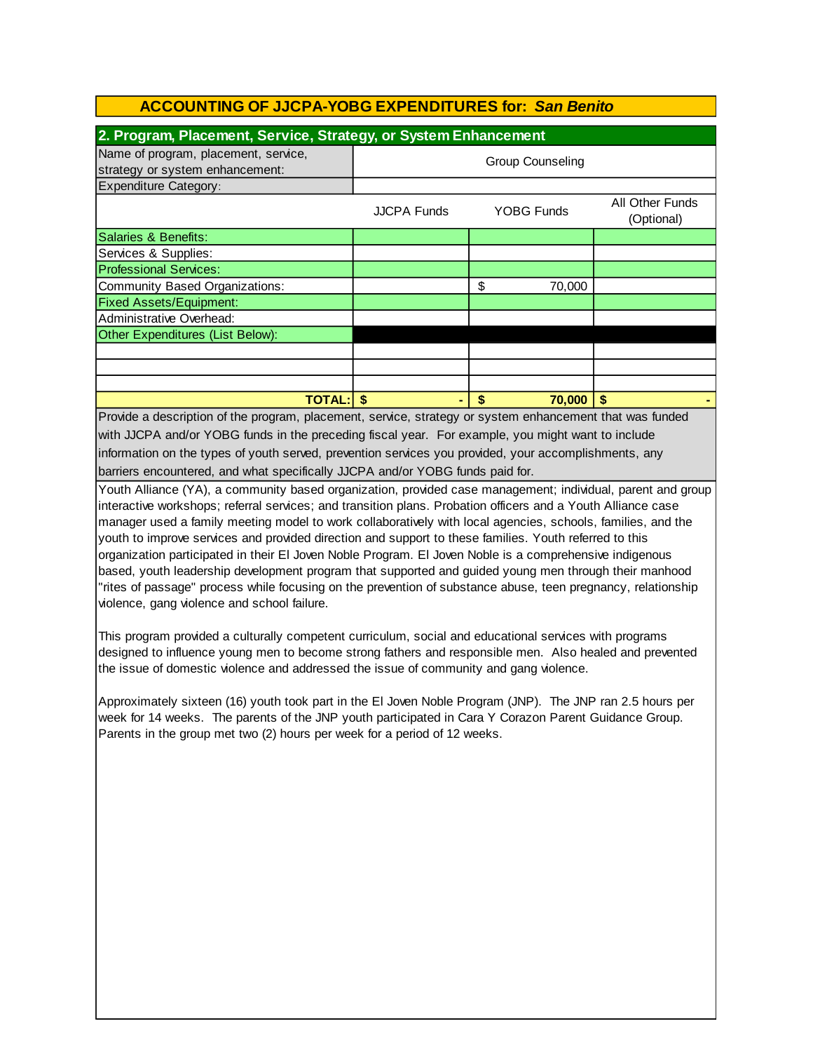| 2. Program, Placement, Service, Strategy, or System Enhancement                                          |                         |               |                                      |  |  |  |
|----------------------------------------------------------------------------------------------------------|-------------------------|---------------|--------------------------------------|--|--|--|
| Name of program, placement, service,<br>strategy or system enhancement:                                  | <b>Group Counseling</b> |               |                                      |  |  |  |
| <b>Expenditure Category:</b>                                                                             |                         |               |                                      |  |  |  |
|                                                                                                          | <b>JJCPA Funds</b>      | YOBG Funds    | <b>All Other Funds</b><br>(Optional) |  |  |  |
| Salaries & Benefits:                                                                                     |                         |               |                                      |  |  |  |
| Services & Supplies:                                                                                     |                         |               |                                      |  |  |  |
| <b>Professional Services:</b>                                                                            |                         |               |                                      |  |  |  |
| Community Based Organizations:                                                                           |                         | \$<br>70,000  |                                      |  |  |  |
| <b>Fixed Assets/Equipment:</b>                                                                           |                         |               |                                      |  |  |  |
| Administrative Overhead:                                                                                 |                         |               |                                      |  |  |  |
| Other Expenditures (List Below):                                                                         |                         |               |                                      |  |  |  |
|                                                                                                          |                         |               |                                      |  |  |  |
|                                                                                                          |                         |               |                                      |  |  |  |
|                                                                                                          |                         |               |                                      |  |  |  |
| <b>TOTAL: S</b>                                                                                          | ۰.                      | 70,000<br>\$. | \$.                                  |  |  |  |
| Provide a description of the program, placement, service, strategy or system enhancement that was funded |                         |               |                                      |  |  |  |
| with JJCPA and/or YOBG funds in the preceding fiscal year. For example, you might want to include        |                         |               |                                      |  |  |  |
| information on the types of youth served, prevention services you provided, your accomplishments, any    |                         |               |                                      |  |  |  |
| barriers encountered, and what specifically JJCPA and/or YOBG funds paid for.                            |                         |               |                                      |  |  |  |

Youth Alliance (YA), a community based organization, provided case management; individual, parent and group interactive workshops; referral services; and transition plans. Probation officers and a Youth Alliance case manager used a family meeting model to work collaboratively with local agencies, schools, families, and the youth to improve services and provided direction and support to these families. Youth referred to this organization participated in their El Joven Noble Program. El Joven Noble is a comprehensive indigenous based, youth leadership development program that supported and guided young men through their manhood "rites of passage" process while focusing on the prevention of substance abuse, teen pregnancy, relationship violence, gang violence and school failure.

This program provided a culturally competent curriculum, social and educational services with programs designed to influence young men to become strong fathers and responsible men. Also healed and prevented the issue of domestic violence and addressed the issue of community and gang violence.

Approximately sixteen (16) youth took part in the El Joven Noble Program (JNP). The JNP ran 2.5 hours per week for 14 weeks. The parents of the JNP youth participated in Cara Y Corazon Parent Guidance Group. Parents in the group met two (2) hours per week for a period of 12 weeks.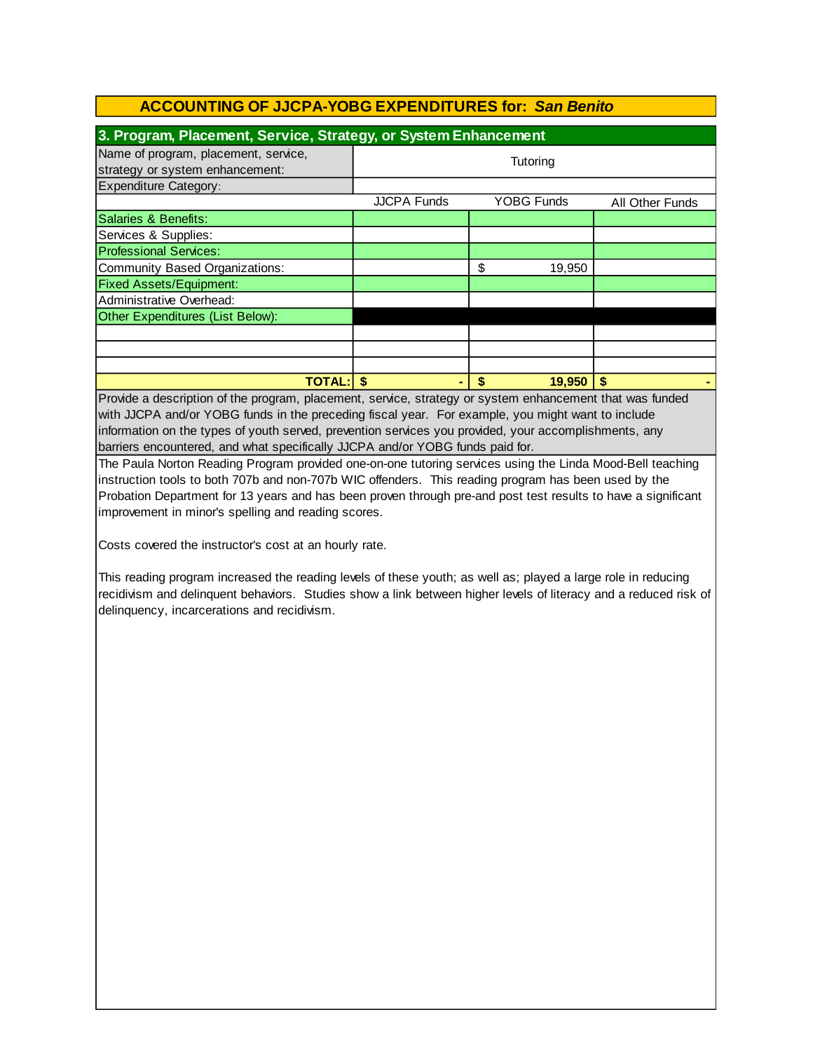| 3. Program, Placement, Service, Strategy, or System Enhancement         |                    |                   |                 |  |  |  |
|-------------------------------------------------------------------------|--------------------|-------------------|-----------------|--|--|--|
| Name of program, placement, service,<br>strategy or system enhancement: | Tutoring           |                   |                 |  |  |  |
| Expenditure Category:                                                   |                    |                   |                 |  |  |  |
|                                                                         | <b>JJCPA Funds</b> | <b>YOBG Funds</b> | All Other Funds |  |  |  |
| Salaries & Benefits:                                                    |                    |                   |                 |  |  |  |
| Services & Supplies:                                                    |                    |                   |                 |  |  |  |
| <b>Professional Services:</b>                                           |                    |                   |                 |  |  |  |
| Community Based Organizations:                                          |                    | \$<br>19,950      |                 |  |  |  |
| <b>Fixed Assets/Equipment:</b>                                          |                    |                   |                 |  |  |  |
| Administrative Overhead:                                                |                    |                   |                 |  |  |  |
| Other Expenditures (List Below):                                        |                    |                   |                 |  |  |  |
|                                                                         |                    |                   |                 |  |  |  |
|                                                                         |                    |                   |                 |  |  |  |
|                                                                         |                    |                   |                 |  |  |  |
| <b>TOTAL:</b>                                                           |                    | 19,950<br>\$      |                 |  |  |  |

Provide a description of the program, placement, service, strategy or system enhancement that was funded with JJCPA and/or YOBG funds in the preceding fiscal year. For example, you might want to include barriers encountered, and what specifically JJCPA and/or YOBG funds paid for. information on the types of youth served, prevention services you provided, your accomplishments, any

The Paula Norton Reading Program provided one-on-one tutoring services using the Linda Mood-Bell teaching instruction tools to both 707b and non-707b WIC offenders. This reading program has been used by the Probation Department for 13 years and has been proven through pre-and post test results to have a significant improvement in minor's spelling and reading scores.

Costs covered the instructor's cost at an hourly rate.

This reading program increased the reading levels of these youth; as well as; played a large role in reducing recidivism and delinquent behaviors. Studies show a link between higher levels of literacy and a reduced risk of delinquency, incarcerations and recidivism.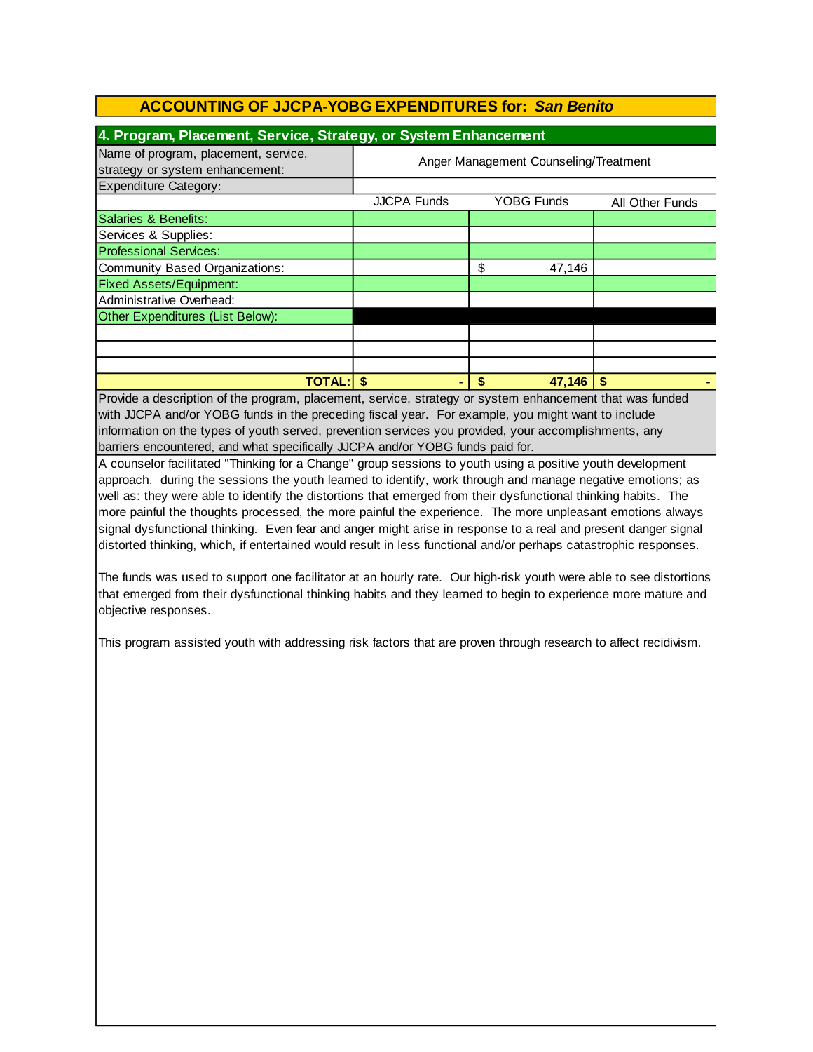| 4. Program, Placement, Service, Strategy, or System Enhancement         |                                       |              |                 |  |  |  |
|-------------------------------------------------------------------------|---------------------------------------|--------------|-----------------|--|--|--|
| Name of program, placement, service,<br>strategy or system enhancement: | Anger Management Counseling/Treatment |              |                 |  |  |  |
| <b>Expenditure Category:</b>                                            |                                       |              |                 |  |  |  |
|                                                                         | <b>JJCPA Funds</b>                    | YOBG Funds   | All Other Funds |  |  |  |
| Salaries & Benefits:                                                    |                                       |              |                 |  |  |  |
| Services & Supplies:                                                    |                                       |              |                 |  |  |  |
| <b>Professional Services:</b>                                           |                                       |              |                 |  |  |  |
| Community Based Organizations:                                          |                                       | \$<br>47,146 |                 |  |  |  |
| <b>Fixed Assets/Equipment:</b>                                          |                                       |              |                 |  |  |  |
| Administrative Overhead:                                                |                                       |              |                 |  |  |  |
| Other Expenditures (List Below):                                        |                                       |              |                 |  |  |  |
|                                                                         |                                       |              |                 |  |  |  |
|                                                                         |                                       |              |                 |  |  |  |
|                                                                         |                                       |              |                 |  |  |  |
| <b>TOTAL:</b>                                                           | S                                     | 47,146<br>\$ |                 |  |  |  |

Provide a description of the program, placement, service, strategy or system enhancement that was funded with JJCPA and/or YOBG funds in the preceding fiscal year. For example, you might want to include information on the types of youth served, prevention services you provided, your accomplishments, any barriers encountered, and what specifically JJCPA and/or YOBG funds paid for.

A counselor facilitated "Thinking for a Change" group sessions to youth using a positive youth development approach. during the sessions the youth learned to identify, work through and manage negative emotions; as well as: they were able to identify the distortions that emerged from their dysfunctional thinking habits. The more painful the thoughts processed, the more painful the experience. The more unpleasant emotions always signal dysfunctional thinking. Even fear and anger might arise in response to a real and present danger signal distorted thinking, which, if entertained would result in less functional and/or perhaps catastrophic responses.

The funds was used to support one facilitator at an hourly rate. Our high-risk youth were able to see distortions that emerged from their dysfunctional thinking habits and they learned to begin to experience more mature and objective responses.

This program assisted youth with addressing risk factors that are proven through research to affect recidivism.